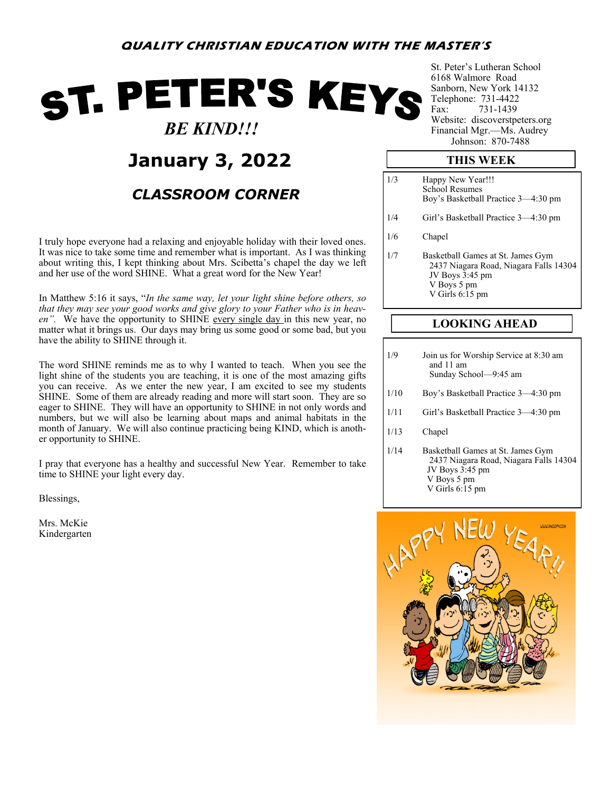# ST. PETER'S KEYS  *BE KIND!!!*

# **January 3, 2022**

### *CLASSROOM CORNER*

I truly hope everyone had a relaxing and enjoyable holiday with their loved ones. It was nice to take some time and remember what is important. As I was thinking about writing this, I kept thinking about Mrs. Scibetta's chapel the day we left and her use of the word SHINE. What a great word for the New Year!

In Matthew 5:16 it says, "*In the same way, let your light shine before others, so that they may see your good works and give glory to your Father who is in heaven".* We have the opportunity to SHINE every single day in this new year, no matter what it brings us. Our days may bring us some good or some bad, but you have the ability to SHINE through it.

The word SHINE reminds me as to why I wanted to teach. When you see the light shine of the students you are teaching, it is one of the most amazing gifts you can receive. As we enter the new year, I am excited to see my students SHINE. Some of them are already reading and more will start soon. They are so eager to SHINE. They will have an opportunity to SHINE in not only words and numbers, but we will also be learning about maps and animal habitats in the month of January. We will also continue practicing being KIND, which is another opportunity to SHINE.

I pray that everyone has a healthy and successful New Year. Remember to take time to SHINE your light every day.

Blessings,

Mrs. McKie Kindergarten St. Peter's Lutheran School 6168 Walmore Road Sanborn, New York 14132 Telephone: 731-4422 Fax: 731-1439 Website: discoverstpeters.org Financial Mgr.—Ms. Audrey Johnson: 870-7488

#### **THIS WEEK**

| 1/3 | Happy New Year!!!<br><b>School Resumes</b><br>Boy's Basketball Practice 3—4:30 pm                                                  |
|-----|------------------------------------------------------------------------------------------------------------------------------------|
| 1/4 | Girl's Basketball Practice 3—4:30 pm                                                                                               |
| 1/6 | Chapel                                                                                                                             |
| 1/7 | Basketball Games at St. James Gym<br>2437 Niagara Road, Niagara Falls 14304<br>JV Boys 3:45 pm<br>V Boys 5 pm<br>V Girls $6:15$ pm |

### **LOOKING AHEAD**

| 1/9 | Join us for Worship Service at 8:30 am |
|-----|----------------------------------------|
|     | and 11 am                              |
|     | Sunday School-9:45 am                  |

- 1/10 Boy's Basketball Practice 3—4:30 pm
- 1/11 Girl's Basketball Practice 3—4:30 pm
- 1/13 Chapel
- 1/14 Basketball Games at St. James Gym 2437 Niagara Road, Niagara Falls 14304 JV Boys 3:45 pm V Boys 5 pm V Girls 6:15 pm

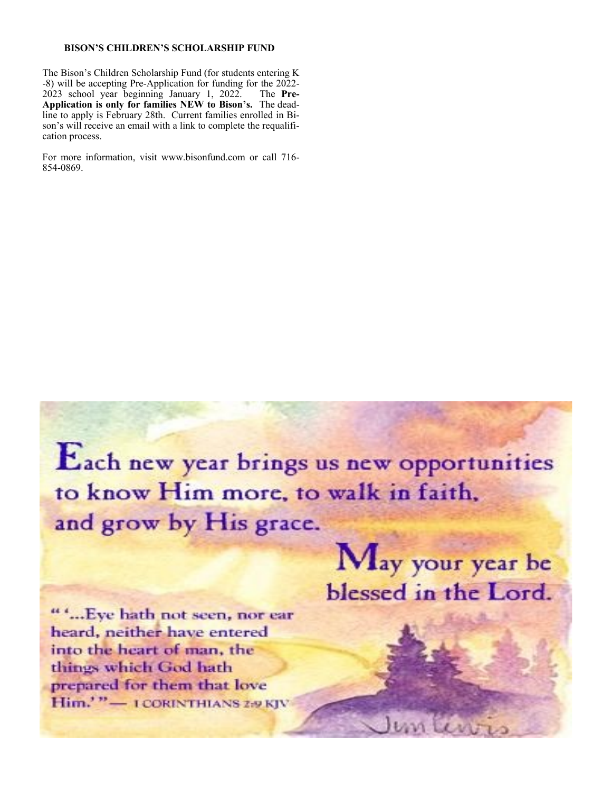#### **BISON'S CHILDREN'S SCHOLARSHIP FUND**

The Bison's Children Scholarship Fund (for students entering K -8) will be accepting Pre-Application for funding for the 2022- 2023 school year beginning January 1, 2022. The **Pre-Application is only for families NEW to Bison's.** The deadline to apply is February 28th. Current families enrolled in Bison's will receive an email with a link to complete the requalification process.

For more information, visit www.bisonfund.com or call 716- 854-0869.

Each new year brings us new opportunities to know Him more, to walk in faith, and grow by His grace.

""...Eye hath not seen, nor ear heard, neither have entered into the heart of man, the things which God hath prepared for them that love Him.'"-I CORINTHIANS 2-9 KJV

May your year be blessed in the Lord.